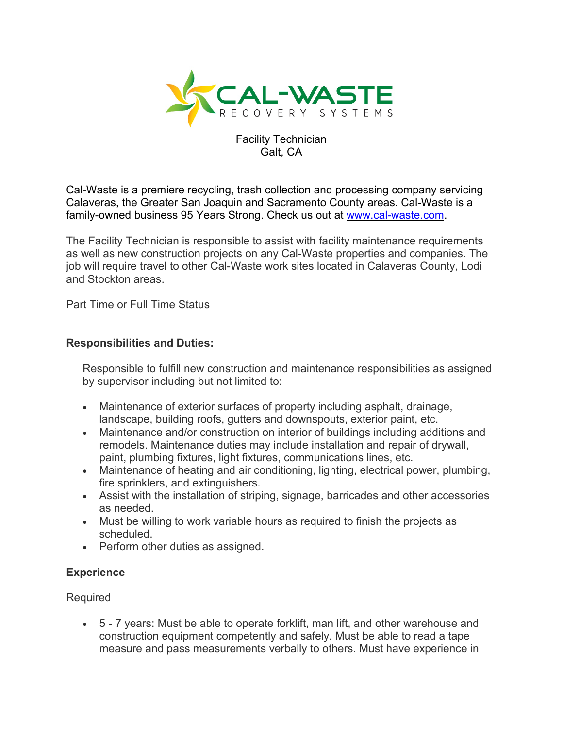

## Facility Technician Galt, CA

Cal-Waste is a premiere recycling, trash collection and processing company servicing Calaveras, the Greater San Joaquin and Sacramento County areas. Cal-Waste is a family-owned business 95 Years Strong. Check us out at [www.cal-waste.com.](http://www.cal-waste.com/)

The Facility Technician is responsible to assist with facility maintenance requirements as well as new construction projects on any Cal-Waste properties and companies. The job will require travel to other Cal-Waste work sites located in Calaveras County, Lodi and Stockton areas.

Part Time or Full Time Status

## **Responsibilities and Duties:**

Responsible to fulfill new construction and maintenance responsibilities as assigned by supervisor including but not limited to:

- Maintenance of exterior surfaces of property including asphalt, drainage, landscape, building roofs, gutters and downspouts, exterior paint, etc.
- Maintenance and/or construction on interior of buildings including additions and remodels. Maintenance duties may include installation and repair of drywall, paint, plumbing fixtures, light fixtures, communications lines, etc.
- Maintenance of heating and air conditioning, lighting, electrical power, plumbing, fire sprinklers, and extinguishers.
- Assist with the installation of striping, signage, barricades and other accessories as needed.
- Must be willing to work variable hours as required to finish the projects as scheduled.
- Perform other duties as assigned.

## **Experience**

Required

• 5 - 7 years: Must be able to operate forklift, man lift, and other warehouse and construction equipment competently and safely. Must be able to read a tape measure and pass measurements verbally to others. Must have experience in